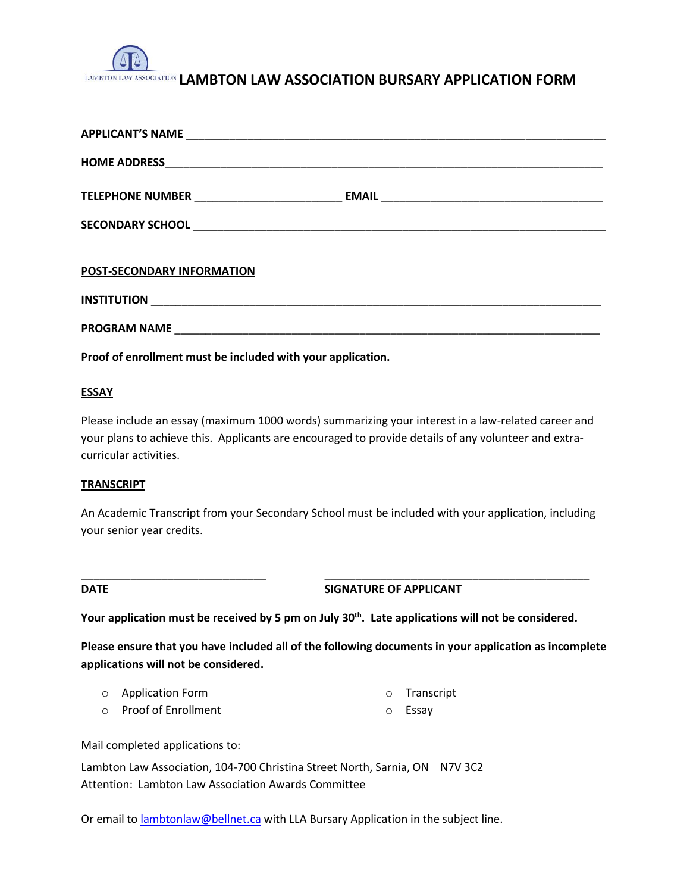

# LAMBTON LAW ASSOCIATION LAMBTON LAW ASSOCIATION BURSARY APPLICATION FORM

| POST-SECONDARY INFORMATION |  |
|----------------------------|--|
|                            |  |
|                            |  |

**Proof of enrollment must be included with your application.**

# **ESSAY**

Please include an essay (maximum 1000 words) summarizing your interest in a law-related career and your plans to achieve this. Applicants are encouraged to provide details of any volunteer and extracurricular activities.

### **TRANSCRIPT**

An Academic Transcript from your Secondary School must be included with your application, including your senior year credits.

**DATE SIGNATURE OF APPLICANT** 

**Your application must be received by 5 pm on July 30th. Late applications will not be considered.**

\_\_\_\_\_\_\_\_\_\_\_\_\_\_\_\_\_\_\_\_\_\_\_\_\_\_\_\_\_\_ \_\_\_\_\_\_\_\_\_\_\_\_\_\_\_\_\_\_\_\_\_\_\_\_\_\_\_\_\_\_\_\_\_\_\_\_\_\_\_\_\_\_\_

**Please ensure that you have included all of the following documents in your application as incomplete applications will not be considered.**

| o Application Form | o Transcript |
|--------------------|--------------|
|                    |              |

o Proof of Enrollment o Essay

Mail completed applications to:

Lambton Law Association, 104-700 Christina Street North, Sarnia, ON N7V 3C2 Attention: Lambton Law Association Awards Committee

Or email to **lambtonlaw@bellnet.ca** with LLA Bursary Application in the subject line.